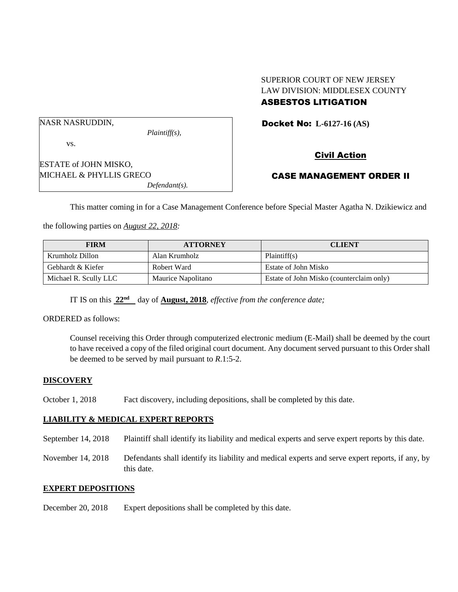#### SUPERIOR COURT OF NEW JERSEY LAW DIVISION: MIDDLESEX COUNTY ASBESTOS LITIGATION

NASR NASRUDDIN,

*Plaintiff(s),*

Docket No: **L-6127-16 (AS)** 

vs.

ESTATE of JOHN MISKO, MICHAEL & PHYLLIS GRECO *Defendant(s).* Civil Action

# CASE MANAGEMENT ORDER II

This matter coming in for a Case Management Conference before Special Master Agatha N. Dzikiewicz and

the following parties on *August 22, 2018:*

| <b>FIRM</b>           | <b>ATTORNEY</b>    | <b>CLIENT</b>                            |
|-----------------------|--------------------|------------------------------------------|
| Krumholz Dillon       | Alan Krumholz      | Plaintiff(s)                             |
| Gebhardt & Kiefer     | Robert Ward        | Estate of John Misko                     |
| Michael R. Scully LLC | Maurice Napolitano | Estate of John Misko (counterclaim only) |

IT IS on this **22nd** day of **August, 2018**, *effective from the conference date;*

ORDERED as follows:

Counsel receiving this Order through computerized electronic medium (E-Mail) shall be deemed by the court to have received a copy of the filed original court document. Any document served pursuant to this Order shall be deemed to be served by mail pursuant to *R*.1:5-2.

## **DISCOVERY**

October 1, 2018 Fact discovery, including depositions, shall be completed by this date.

## **LIABILITY & MEDICAL EXPERT REPORTS**

September 14, 2018 Plaintiff shall identify its liability and medical experts and serve expert reports by this date.

November 14, 2018 Defendants shall identify its liability and medical experts and serve expert reports, if any, by this date.

#### **EXPERT DEPOSITIONS**

December 20, 2018 Expert depositions shall be completed by this date.